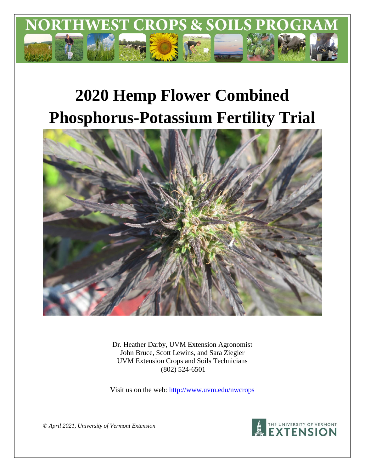

# **2020 Hemp Flower Combined Phosphorus-Potassium Fertility Trial**



Dr. Heather Darby, UVM Extension Agronomist John Bruce, Scott Lewins, and Sara Ziegler UVM Extension Crops and Soils Technicians (802) 524-6501

Visit us on the web:<http://www.uvm.edu/nwcrops>



*© April 2021, University of Vermont Extension*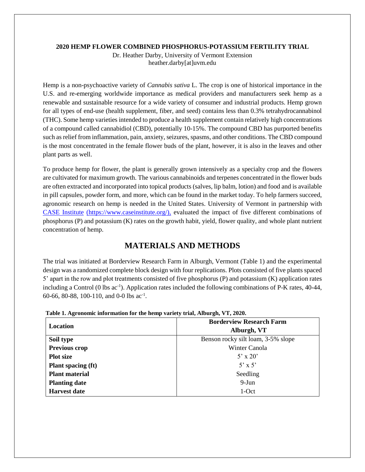#### **2020 HEMP FLOWER COMBINED PHOSPHORUS-POTASSIUM FERTILITY TRIAL**

Dr. Heather Darby, University of Vermont Extension heather.darby[at]uvm.edu

Hemp is a non-psychoactive variety of *Cannabis sativa* L. The crop is one of historical importance in the U.S. and re-emerging worldwide importance as medical providers and manufacturers seek hemp as a renewable and sustainable resource for a wide variety of consumer and industrial products. Hemp grown for all types of end-use (health supplement, fiber, and seed) contains less than 0.3% tetrahydrocannabinol (THC). Some hemp varieties intended to produce a health supplement contain relatively high concentrations of a compound called cannabidiol (CBD), potentially 10-15%. The compound CBD has purported benefits such as relief from inflammation, pain, anxiety, seizures, spasms, and other conditions. The CBD compound is the most concentrated in the female flower buds of the plant, however, it is also in the leaves and other plant parts as well.

To produce hemp for flower, the plant is generally grown intensively as a specialty crop and the flowers are cultivated for maximum growth. The various cannabinoids and terpenes concentrated in the flower buds are often extracted and incorporated into topical products (salves, lip balm, lotion) and food and is available in pill capsules, powder form, and more, which can be found in the market today. To help farmers succeed, agronomic research on hemp is needed in the United States. University of Vermont in partnership with [CASE Institute](https://www.caseinstitute.org/) (https://www.caseinstitute.org/), evaluated the impact of five different combinations of phosphorus (P) and potassium (K) rates on the growth habit, yield, flower quality, and whole plant nutrient concentration of hemp.

## **MATERIALS AND METHODS**

The trial was initiated at Borderview Research Farm in Alburgh, Vermont (Table 1) and the experimental design was a randomized complete block design with four replications. Plots consisted of five plants spaced 5' apart in the row and plot treatments consisted of five phosphorus (P) and potassium (K) application rates including a Control (0 lbs ac<sup>-1</sup>). Application rates included the following combinations of P-K rates, 40-44, 60-66, 80-88, 100-110, and 0-0 lbs ac-1 .

| Location                  | <b>Borderview Research Farm</b>    |
|---------------------------|------------------------------------|
|                           | Alburgh, VT                        |
| Soil type                 | Benson rocky silt loam, 3-5% slope |
| Previous crop             | Winter Canola                      |
| <b>Plot size</b>          | $5' \times 20'$                    |
| <b>Plant spacing (ft)</b> | $5' \times 5'$                     |
| <b>Plant material</b>     | Seedling                           |
| <b>Planting date</b>      | $9-Jun$                            |
| <b>Harvest date</b>       | 1-Oct                              |

|  | Table 1. Agronomic information for the hemp variety trial, Alburgh, VT, 2020. |  |  |  |  |
|--|-------------------------------------------------------------------------------|--|--|--|--|
|  |                                                                               |  |  |  |  |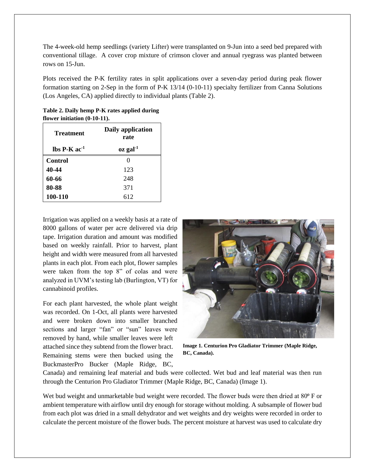The 4-week-old hemp seedlings (variety Lifter) were transplanted on 9-Jun into a seed bed prepared with conventional tillage. A cover crop mixture of crimson clover and annual ryegrass was planted between rows on 15-Jun.

Plots received the P-K fertility rates in split applications over a seven-day period during peak flower formation starting on 2-Sep in the form of P-K 13/14 (0-10-11) specialty fertilizer from Canna Solutions (Los Angeles, CA) applied directly to individual plants (Table 2).

**Table 2. Daily hemp P-K rates applied during flower initiation (0-10-11).**

| <b>Treatment</b>                | Daily application<br>rate  |
|---------------------------------|----------------------------|
| $\rm{lbs}$ P-K ac <sup>-1</sup> | $\alpha$ gal <sup>-1</sup> |
| Control                         | 0                          |
| 40-44                           | 123                        |
| 60-66                           | 248                        |
| 80-88                           | 371                        |
| 100-110                         | 612                        |

Irrigation was applied on a weekly basis at a rate of 8000 gallons of water per acre delivered via drip tape. Irrigation duration and amount was modified based on weekly rainfall. Prior to harvest, plant height and width were measured from all harvested plants in each plot. From each plot, flower samples were taken from the top 8" of colas and were analyzed in UVM's testing lab (Burlington, VT) for cannabinoid profiles.

For each plant harvested, the whole plant weight was recorded. On 1-Oct, all plants were harvested and were broken down into smaller branched sections and larger "fan" or "sun" leaves were removed by hand, while smaller leaves were left attached since they subtend from the flower bract. Remaining stems were then bucked using the BuckmasterPro Bucker (Maple Ridge, BC,



**Image 1. Centurion Pro Gladiator Trimmer (Maple Ridge, BC, Canada).**

Canada) and remaining leaf material and buds were collected. Wet bud and leaf material was then run through the Centurion Pro Gladiator Trimmer (Maple Ridge, BC, Canada) (Image 1).

Wet bud weight and unmarketable bud weight were recorded. The flower buds were then dried at 80<sup>°</sup> F or ambient temperature with airflow until dry enough for storage without molding. A subsample of flower bud from each plot was dried in a small dehydrator and wet weights and dry weights were recorded in order to calculate the percent moisture of the flower buds. The percent moisture at harvest was used to calculate dry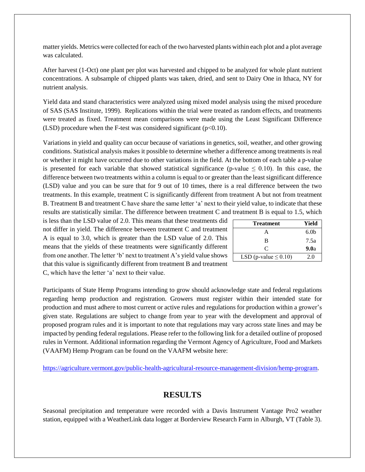matter yields. Metrics were collected for each of the two harvested plants within each plot and a plot average was calculated.

After harvest (1-Oct) one plant per plot was harvested and chipped to be analyzed for whole plant nutrient concentrations. A subsample of chipped plants was taken, dried, and sent to Dairy One in Ithaca, NY for nutrient analysis.

Yield data and stand characteristics were analyzed using mixed model analysis using the mixed procedure of SAS (SAS Institute, 1999). Replications within the trial were treated as random effects, and treatments were treated as fixed. Treatment mean comparisons were made using the Least Significant Difference (LSD) procedure when the F-test was considered significant ( $p<0.10$ ).

Variations in yield and quality can occur because of variations in genetics, soil, weather, and other growing conditions. Statistical analysis makes it possible to determine whether a difference among treatments is real or whether it might have occurred due to other variations in the field. At the bottom of each table a p-value is presented for each variable that showed statistical significance (p-value  $\leq 0.10$ ). In this case, the difference between two treatments within a column is equal to or greater than the least significant difference (LSD) value and you can be sure that for 9 out of 10 times, there is a real difference between the two treatments. In this example, treatment C is significantly different from treatment A but not from treatment B. Treatment B and treatment C have share the same letter 'a' next to their yield value, to indicate that these results are statistically similar. The difference between treatment C and treatment B is equal to 1.5, which

is less than the LSD value of 2.0. This means that these treatments did not differ in yield. The difference between treatment C and treatment A is equal to 3.0, which is greater than the LSD value of 2.0. This means that the yields of these treatments were significantly different from one another. The letter 'b' next to treatment A's yield value shows that this value is significantly different from treatment B and treatment C, which have the letter 'a' next to their value.

| <b>Treatment</b>           | Yield            |
|----------------------------|------------------|
| А                          | 6.0 <sub>b</sub> |
| B                          | 7.5a             |
| C                          | 9.0a             |
| LSD (p-value $\leq 0.10$ ) | 2.0              |

Participants of State Hemp Programs intending to grow should acknowledge state and federal regulations regarding hemp production and registration. Growers must register within their intended state for production and must adhere to most current or active rules and regulations for production within a grower's given state. Regulations are subject to change from year to year with the development and approval of proposed program rules and it is important to note that regulations may vary across state lines and may be impacted by pending federal regulations. Please refer to the following link for a detailed outline of proposed rules in Vermont. Additional information regarding the Vermont Agency of Agriculture, Food and Markets (VAAFM) Hemp Program can be found on the VAAFM website here:

[https://agriculture.vermont.gov/public-health-agricultural-resource-management-division/hemp-program.](https://agriculture.vermont.gov/public-health-agricultural-resource-management-division/hemp-program)

## **RESULTS**

Seasonal precipitation and temperature were recorded with a Davis Instrument Vantage Pro2 weather station, equipped with a WeatherLink data logger at Borderview Research Farm in Alburgh, VT (Table 3).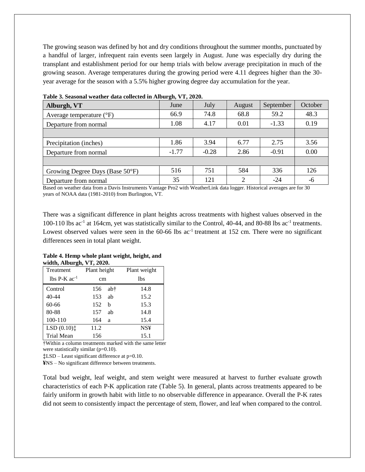The growing season was defined by hot and dry conditions throughout the summer months, punctuated by a handful of larger, infrequent rain events seen largely in August. June was especially dry during the transplant and establishment period for our hemp trials with below average precipitation in much of the growing season. Average temperatures during the growing period were 4.11 degrees higher than the 30 year average for the season with a 5.5% higher growing degree day accumulation for the year.

| Alburgh, VT                       | June    | July    | August | September | October |
|-----------------------------------|---------|---------|--------|-----------|---------|
| Average temperature $(^{\circ}F)$ | 66.9    | 74.8    | 68.8   | 59.2      | 48.3    |
| Departure from normal             | 1.08    | 4.17    | 0.01   | $-1.33$   | 0.19    |
|                                   |         |         |        |           |         |
| Precipitation (inches)            | 1.86    | 3.94    | 6.77   | 2.75      | 3.56    |
| Departure from normal             | $-1.77$ | $-0.28$ | 2.86   | $-0.91$   | 0.00    |
|                                   |         |         |        |           |         |
| Growing Degree Days (Base 50°F)   | 516     | 751     | 584    | 336       | 126     |
| Departure from normal             | 35      | 121     | 2      | $-24$     | -6      |

**Table 3. Seasonal weather data collected in Alburgh, VT, 2020.**

Based on weather data from a Davis Instruments Vantage Pro2 with WeatherLink data logger. Historical averages are for 30 years of NOAA data (1981-2010) from Burlington, VT.

There was a significant difference in plant heights across treatments with highest values observed in the 100-110 lbs ac<sup>-1</sup> at 164cm, yet was statistically similar to the Control, 40-44, and 80-88 lbs ac<sup>-1</sup> treatments. Lowest observed values were seen in the 60-66 lbs ac<sup>-1</sup> treatment at 152 cm. There were no significant differences seen in total plant weight.

**Table 4. Hemp whole plant weight, height, and width, Alburgh, VT, 2020.**

| Treatment                         | Plant height |     | Plant weight |  |  |  |
|-----------------------------------|--------------|-----|--------------|--|--|--|
| $\text{lbs}$ P-K ac <sup>-1</sup> | cm           |     | lbs          |  |  |  |
| Control                           | 156          | ab† | 14.8         |  |  |  |
| 40-44                             | 153          | ab  | 15.2         |  |  |  |
| $60 - 66$                         | 152          | h   | 15.3         |  |  |  |
| 80-88                             | 157          | ab  | 14.8         |  |  |  |
| 100-110                           | 164          | a   | 15.4         |  |  |  |
| LSD(0.10) <sub>1</sub>            | 11.2         |     | <b>NS¥</b>   |  |  |  |
| <b>Trial Mean</b>                 | 156          |     | 15.1         |  |  |  |

†Within a column treatments marked with the same letter were statistically similar (p=0.10).

**‡**LSD – Least significant difference at p=0.10.

**¥**NS – No significant difference between treatments.

Total bud weight, leaf weight, and stem weight were measured at harvest to further evaluate growth characteristics of each P-K application rate (Table 5). In general, plants across treatments appeared to be fairly uniform in growth habit with little to no observable difference in appearance. Overall the P-K rates did not seem to consistently impact the percentage of stem, flower, and leaf when compared to the control.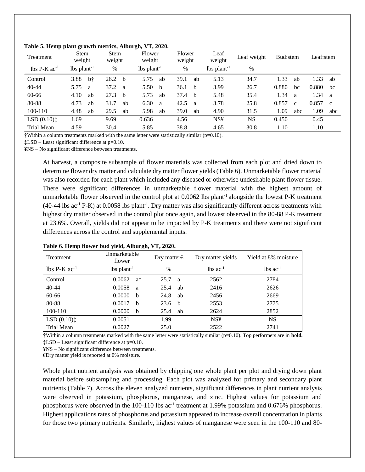| Treatment                                | Stem<br>weight            |    | <b>Stem</b><br>weight |              | Flower<br>weight          |    | Flower<br>weight |              | Leaf<br>weight            | Leaf weight | Bud:stem |              | Leaf:stem       |              |
|------------------------------------------|---------------------------|----|-----------------------|--------------|---------------------------|----|------------------|--------------|---------------------------|-------------|----------|--------------|-----------------|--------------|
| $\text{lbs} \text{ P-K} \text{ ac}^{-1}$ | $lbs$ plant <sup>-1</sup> |    | $\%$                  |              | $lbs$ plant <sup>-1</sup> |    | %                |              | $lbs$ plant <sup>-1</sup> | $\%$        |          |              |                 |              |
| Control                                  | 3.88                      | b† | 26.2                  | - b          | 5.75                      | ab | 39.1             | ab           | 5.13                      | 34.7        | 1.33     | ab           | L <sub>33</sub> | ab           |
| $40 - 44$                                | 5.75                      | a  | 37.2                  | <sub>a</sub> | 5.50                      | b  | 36.1             | <sub>b</sub> | 3.99                      | 26.7        | 0.880    | bc           | 0.880           | bc           |
| 60-66                                    | 4.10                      | ab | 27.3                  | - b          | 5.73                      | ab | 37.4             | <sub>b</sub> | 5.48                      | 35.4        | 1.34     | a            | 1.34            | a            |
| 80-88                                    | 4.73                      | ab | 31.7                  | ab           | 6.30                      | a  | 42.5             | a            | 3.78                      | 25.8        | 0.857    | $\mathbf{c}$ | 0.857           | $\mathbf{c}$ |
| 100-110                                  | 4.48                      | ab | 29.5                  | ab           | 5.98                      | ab | 39.0             | ab           | 4.90                      | 31.5        | 1.09     | abc          | 1.09            | abc          |
| $LSD(0.10)$ :                            | 1.69                      |    | 9.69                  |              | 0.636                     |    | 4.56             |              | <b>NS¥</b>                | <b>NS</b>   | 0.450    |              | 0.45            |              |
| Trial Mean                               | 4.59                      |    | 30.4                  |              | 5.85                      |    | 38.8             |              | 4.65                      | 30.8        | 1.10     |              | 1.10            |              |

#### **Table 5. Hemp plant growth metrics, Alburgh, VT, 2020.**

 $\dagger$ Within a column treatments marked with the same letter were statistically similar ( $p=0.10$ ).

**‡**LSD – Least significant difference at p=0.10.

**¥**NS – No significant difference between treatments.

At harvest, a composite subsample of flower materials was collected from each plot and dried down to determine flower dry matter and calculate dry matter flower yields (Table 6). Unmarketable flower material was also recorded for each plant which included any diseased or otherwise undesirable plant flower tissue. There were significant differences in unmarketable flower material with the highest amount of unmarketable flower observed in the control plot at  $0.0062$  lbs plant<sup>-1</sup> alongside the lowest P-K treatment  $(40-44 \text{ lbs} ac^{-1} \text{ P-K})$  at  $0.0058 \text{ lbs} \text{ plant}^{-1}$ . Dry matter was also significantly different across treatments with highest dry matter observed in the control plot once again, and lowest observed in the 80-88 P-K treatment at 23.6%. Overall, yields did not appear to be impacted by P-K treatments and there were not significant differences across the control and supplemental inputs.

| Treatment                         | Unmarketable<br>flower    | Dry matter $\epsilon$ | Dry matter yields             | Yield at 8% moisture     |
|-----------------------------------|---------------------------|-----------------------|-------------------------------|--------------------------|
| $\text{lbs}$ P-K ac <sup>-1</sup> | $lbs$ plant <sup>-1</sup> | $\frac{0}{0}$         | $\text{lbs}$ ac <sup>-1</sup> | $\ln$ s ac <sup>-1</sup> |
| Control                           | 0.0062<br>at              | 25.7<br><sub>a</sub>  | 2562                          | 2784                     |
| 40-44                             | 0.0058<br>a               | 25.4<br>ab            | 2416                          | 2626                     |
| 60-66                             | 0.0000<br>b               | 24.8<br>ab            | 2456                          | 2669                     |
| 80-88                             | 0.0017<br>b               | 23.6<br>$\mathbf{b}$  | 2553                          | 2775                     |
| 100-110                           | 0.0000<br>b               | ab<br>25.4            | 2624                          | 2852                     |
| LSD(0.10)                         | 0.0051                    | 1.99                  | <b>NS¥</b>                    | <b>NS</b>                |
| Trial Mean                        | 0.0027                    | 25.0                  | 2522                          | 2741                     |

#### **Table 6. Hemp flower bud yield, Alburgh, VT, 2020.**

†Within a column treatments marked with the same letter were statistically similar (p=0.10). Top performers are in **bold.** 

**‡**LSD – Least significant difference at p=0.10.

**¥**NS – No significant difference between treatments.

**€**Dry matter yield is reported at 0% moisture.

Whole plant nutrient analysis was obtained by chipping one whole plant per plot and drying down plant material before subsampling and processing. Each plot was analyzed for primary and secondary plant nutrients (Table 7). Across the eleven analyzed nutrients, significant differences in plant nutrient analysis were observed in potassium, phosphorus, manganese, and zinc. Highest values for potassium and phosphorus were observed in the 100-110 lbs ac<sup>-1</sup> treatment at 1.99% potassium and 0.676% phosphorus. Highest applications rates of phosphorus and potassium appeared to increase overall concentration in plants for those two primary nutrients. Similarly, highest values of manganese were seen in the 100-110 and 80-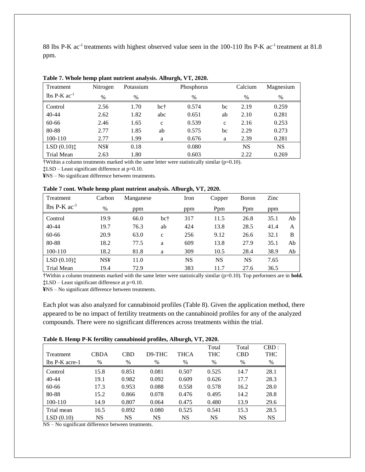88 lbs P-K ac<sup>-1</sup> treatments with highest observed value seen in the 100-110 lbs P-K ac<sup>-1</sup> treatment at 81.8 ppm.

| Treatment                  | Nitrogen      | Potassium |              | Phosphorus    |              | Calcium   | Magnesium |
|----------------------------|---------------|-----------|--------------|---------------|--------------|-----------|-----------|
| lbs $P-K$ ac <sup>-1</sup> | $\frac{0}{0}$ | $\%$      |              | $\frac{0}{0}$ |              | $\%$      | $\%$      |
| Control                    | 2.56          | 1.70      | bc†          | 0.574         | bc           | 2.19      | 0.259     |
| $40 - 44$                  | 2.62          | 1.82      | abc          | 0.651         | ab           | 2.10      | 0.281     |
| 60-66                      | 2.46          | 1.65      | $\mathbf{c}$ | 0.539         | $\mathbf{c}$ | 2.16      | 0.253     |
| 80-88                      | 2.77          | 1.85      | ab           | 0.575         | bc           | 2.29      | 0.273     |
| 100-110                    | 2.77          | 1.99      | a            | 0.676         | a            | 2.39      | 0.281     |
| $LSD(0.10)$ :              | <b>NS¥</b>    | 0.18      |              | 0.080         |              | <b>NS</b> | <b>NS</b> |
| Trial Mean                 | 2.63          | 1.80      |              | 0.603         |              | 2.22      | 0.269     |

| Table 7. Whole hemp plant nutrient analysis. Alburgh, VT, 2020. |  |
|-----------------------------------------------------------------|--|
|-----------------------------------------------------------------|--|

†Within a column treatments marked with the same letter were statistically similar (p=0.10).

**‡**LSD – Least significant difference at p=0.10.

**¥**NS – No significant difference between treatments.

**Table 7 cont. Whole hemp plant nutrient analysis. Alburgh, VT, 2020.**

| Treatment                  | Carbon     | Manganese |              | Iron      | Copper    | Boron     | Zinc |    |
|----------------------------|------------|-----------|--------------|-----------|-----------|-----------|------|----|
| lbs $P-K$ ac <sup>-1</sup> | $\%$       | ppm       |              | ppm       | Ppm       | Ppm       | ppm  |    |
| Control                    | 19.9       | 66.0      | bc†          | 317       | 11.5      | 26.8      | 35.1 | Ab |
| $40 - 44$                  | 19.7       | 76.3      | ab           | 424       | 13.8      | 28.5      | 41.4 | A  |
| 60-66                      | 20.9       | 63.0      | $\mathbf{C}$ | 256       | 9.12      | 26.6      | 32.1 | B  |
| 80-88                      | 18.2       | 77.5      | a            | 609       | 13.8      | 27.9      | 35.1 | Ab |
| 100-110                    | 18.2       | 81.8      | a            | 309       | 10.5      | 28.4      | 38.9 | Ab |
| $LSD(0.10)$ :              | <b>NS¥</b> | 11.0      |              | <b>NS</b> | <b>NS</b> | <b>NS</b> | 7.65 |    |
| Trial Mean                 | 19.4       | 72.9      |              | 383       | 11.7      | 27.6      | 36.5 |    |

†Within a column treatments marked with the same letter were statistically similar (p=0.10). Top performers are in **bold. ‡**LSD – Least significant difference at p=0.10.

**¥**NS – No significant difference between treatments.

Each plot was also analyzed for cannabinoid profiles (Table 8). Given the application method, there appeared to be no impact of fertility treatments on the cannabinoid profiles for any of the analyzed compounds. There were no significant differences across treatments within the trial.

|  |  | Table 8. Hemp P-K fertility cannabinoid profiles, Alburgh, VT, 2020. |  |  |
|--|--|----------------------------------------------------------------------|--|--|
|  |  |                                                                      |  |  |

| Treatment      | CBDA      | CBD       | D <sub>9</sub> -THC | THCA  | Total<br><b>THC</b> | Total<br><b>CBD</b> | $CBD$ :<br><b>THC</b> |
|----------------|-----------|-----------|---------------------|-------|---------------------|---------------------|-----------------------|
| lbs P-K acre-1 | $\%$      | %         | $\%$                | %     | $\%$                | %                   | %                     |
| Control        | 15.8      | 0.851     | 0.081               | 0.507 | 0.525               | 14.7                | 28.1                  |
| 40-44          | 19.1      | 0.982     | 0.092               | 0.609 | 0.626               | 17.7                | 28.3                  |
| 60-66          | 17.3      | 0.953     | 0.088               | 0.558 | 0.578               | 16.2                | 28.0                  |
| 80-88          | 15.2      | 0.866     | 0.078               | 0.476 | 0.495               | 14.2                | 28.8                  |
| 100-110        | 14.9      | 0.807     | 0.064               | 0.475 | 0.480               | 13.9                | 29.6                  |
| Trial mean     | 16.5      | 0.892     | 0.080               | 0.525 | 0.541               | 15.3                | 28.5                  |
| LSD(0.10)      | <b>NS</b> | <b>NS</b> | <b>NS</b>           | NS    | <b>NS</b>           | <b>NS</b>           | <b>NS</b>             |

NS – No significant difference between treatments.